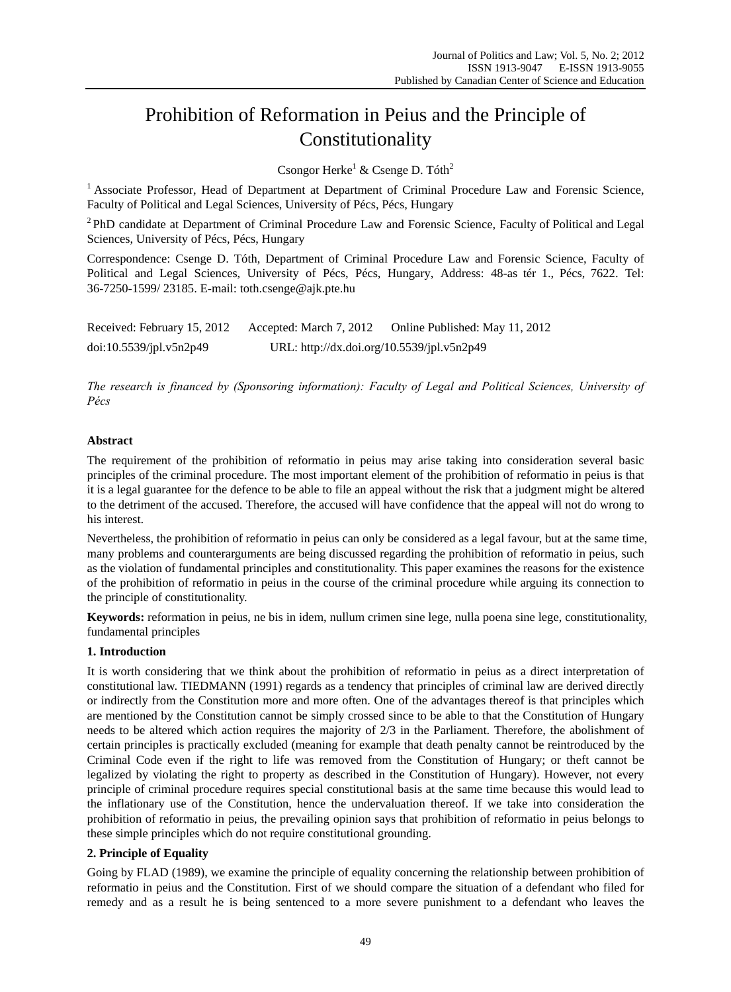# Prohibition of Reformation in Peius and the Principle of Constitutionality

Csongor Herke<sup>1</sup> & Csenge D. Tóth<sup>2</sup>

<sup>1</sup> Associate Professor, Head of Department at Department of Criminal Procedure Law and Forensic Science, Faculty of Political and Legal Sciences, University of Pécs, Pécs, Hungary

2 PhD candidate at Department of Criminal Procedure Law and Forensic Science, Faculty of Political and Legal Sciences, University of Pécs, Pécs, Hungary

Correspondence: Csenge D. Tóth, Department of Criminal Procedure Law and Forensic Science, Faculty of Political and Legal Sciences, University of Pécs, Pécs, Hungary, Address: 48-as tér 1., Pécs, 7622. Tel: 36-7250-1599/ 23185. E-mail: toth.csenge@ajk.pte.hu

Received: February 15, 2012 Accepted: March 7, 2012 Online Published: May 11, 2012 doi:10.5539/jpl.v5n2p49 URL: http://dx.doi.org/10.5539/jpl.v5n2p49

*The research is financed by (Sponsoring information): Faculty of Legal and Political Sciences, University of Pécs* 

## **Abstract**

The requirement of the prohibition of reformatio in peius may arise taking into consideration several basic principles of the criminal procedure. The most important element of the prohibition of reformatio in peius is that it is a legal guarantee for the defence to be able to file an appeal without the risk that a judgment might be altered to the detriment of the accused. Therefore, the accused will have confidence that the appeal will not do wrong to his interest.

Nevertheless, the prohibition of reformatio in peius can only be considered as a legal favour, but at the same time, many problems and counterarguments are being discussed regarding the prohibition of reformatio in peius, such as the violation of fundamental principles and constitutionality. This paper examines the reasons for the existence of the prohibition of reformatio in peius in the course of the criminal procedure while arguing its connection to the principle of constitutionality.

**Keywords:** reformation in peius, ne bis in idem, nullum crimen sine lege, nulla poena sine lege, constitutionality, fundamental principles

## **1. Introduction**

It is worth considering that we think about the prohibition of reformatio in peius as a direct interpretation of constitutional law. TIEDMANN (1991) regards as a tendency that principles of criminal law are derived directly or indirectly from the Constitution more and more often. One of the advantages thereof is that principles which are mentioned by the Constitution cannot be simply crossed since to be able to that the Constitution of Hungary needs to be altered which action requires the majority of 2/3 in the Parliament. Therefore, the abolishment of certain principles is practically excluded (meaning for example that death penalty cannot be reintroduced by the Criminal Code even if the right to life was removed from the Constitution of Hungary; or theft cannot be legalized by violating the right to property as described in the Constitution of Hungary). However, not every principle of criminal procedure requires special constitutional basis at the same time because this would lead to the inflationary use of the Constitution, hence the undervaluation thereof. If we take into consideration the prohibition of reformatio in peius, the prevailing opinion says that prohibition of reformatio in peius belongs to these simple principles which do not require constitutional grounding.

# **2. Principle of Equality**

Going by FLAD (1989), we examine the principle of equality concerning the relationship between prohibition of reformatio in peius and the Constitution. First of we should compare the situation of a defendant who filed for remedy and as a result he is being sentenced to a more severe punishment to a defendant who leaves the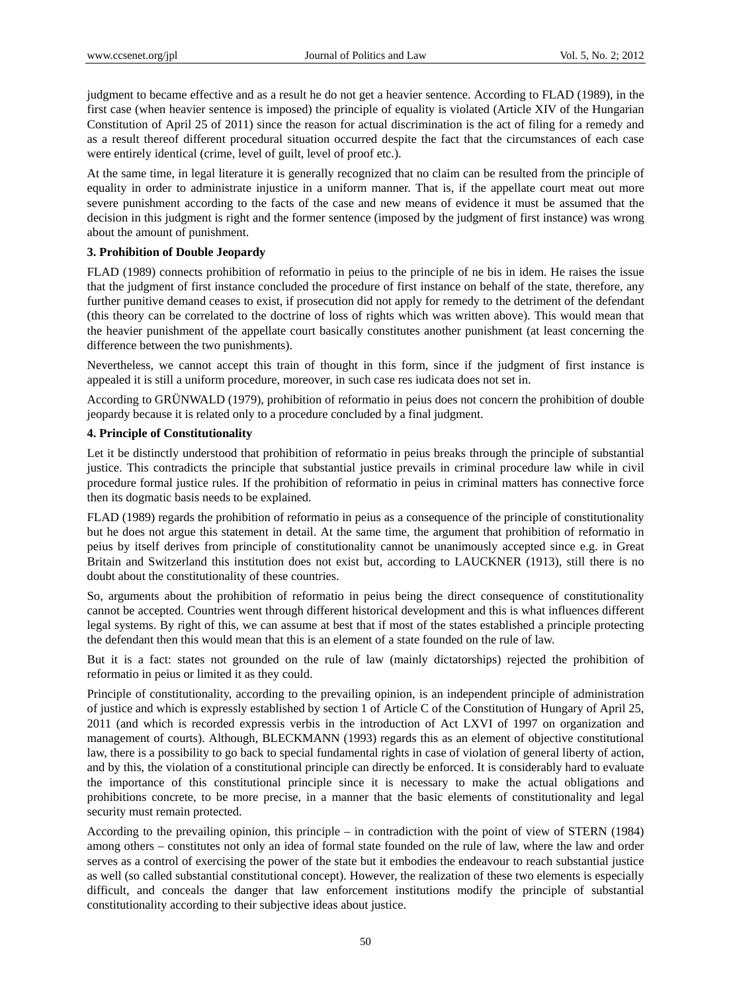judgment to became effective and as a result he do not get a heavier sentence. According to FLAD (1989), in the first case (when heavier sentence is imposed) the principle of equality is violated (Article XIV of the Hungarian Constitution of April 25 of 2011) since the reason for actual discrimination is the act of filing for a remedy and as a result thereof different procedural situation occurred despite the fact that the circumstances of each case were entirely identical (crime, level of guilt, level of proof etc.).

At the same time, in legal literature it is generally recognized that no claim can be resulted from the principle of equality in order to administrate injustice in a uniform manner. That is, if the appellate court meat out more severe punishment according to the facts of the case and new means of evidence it must be assumed that the decision in this judgment is right and the former sentence (imposed by the judgment of first instance) was wrong about the amount of punishment.

## **3. Prohibition of Double Jeopardy**

FLAD (1989) connects prohibition of reformatio in peius to the principle of ne bis in idem. He raises the issue that the judgment of first instance concluded the procedure of first instance on behalf of the state, therefore, any further punitive demand ceases to exist, if prosecution did not apply for remedy to the detriment of the defendant (this theory can be correlated to the doctrine of loss of rights which was written above). This would mean that the heavier punishment of the appellate court basically constitutes another punishment (at least concerning the difference between the two punishments).

Nevertheless, we cannot accept this train of thought in this form, since if the judgment of first instance is appealed it is still a uniform procedure, moreover, in such case res iudicata does not set in.

According to GRÜNWALD (1979), prohibition of reformatio in peius does not concern the prohibition of double jeopardy because it is related only to a procedure concluded by a final judgment.

## **4. Principle of Constitutionality**

Let it be distinctly understood that prohibition of reformatio in peius breaks through the principle of substantial justice. This contradicts the principle that substantial justice prevails in criminal procedure law while in civil procedure formal justice rules. If the prohibition of reformatio in peius in criminal matters has connective force then its dogmatic basis needs to be explained.

FLAD (1989) regards the prohibition of reformatio in peius as a consequence of the principle of constitutionality but he does not argue this statement in detail. At the same time, the argument that prohibition of reformatio in peius by itself derives from principle of constitutionality cannot be unanimously accepted since e.g. in Great Britain and Switzerland this institution does not exist but, according to LAUCKNER (1913), still there is no doubt about the constitutionality of these countries.

So, arguments about the prohibition of reformatio in peius being the direct consequence of constitutionality cannot be accepted. Countries went through different historical development and this is what influences different legal systems. By right of this, we can assume at best that if most of the states established a principle protecting the defendant then this would mean that this is an element of a state founded on the rule of law.

But it is a fact: states not grounded on the rule of law (mainly dictatorships) rejected the prohibition of reformatio in peius or limited it as they could.

Principle of constitutionality, according to the prevailing opinion, is an independent principle of administration of justice and which is expressly established by section 1 of Article C of the Constitution of Hungary of April 25, 2011 (and which is recorded expressis verbis in the introduction of Act LXVI of 1997 on organization and management of courts). Although, BLECKMANN (1993) regards this as an element of objective constitutional law, there is a possibility to go back to special fundamental rights in case of violation of general liberty of action, and by this, the violation of a constitutional principle can directly be enforced. It is considerably hard to evaluate the importance of this constitutional principle since it is necessary to make the actual obligations and prohibitions concrete, to be more precise, in a manner that the basic elements of constitutionality and legal security must remain protected.

According to the prevailing opinion, this principle – in contradiction with the point of view of STERN (1984) among others – constitutes not only an idea of formal state founded on the rule of law, where the law and order serves as a control of exercising the power of the state but it embodies the endeavour to reach substantial justice as well (so called substantial constitutional concept). However, the realization of these two elements is especially difficult, and conceals the danger that law enforcement institutions modify the principle of substantial constitutionality according to their subjective ideas about justice.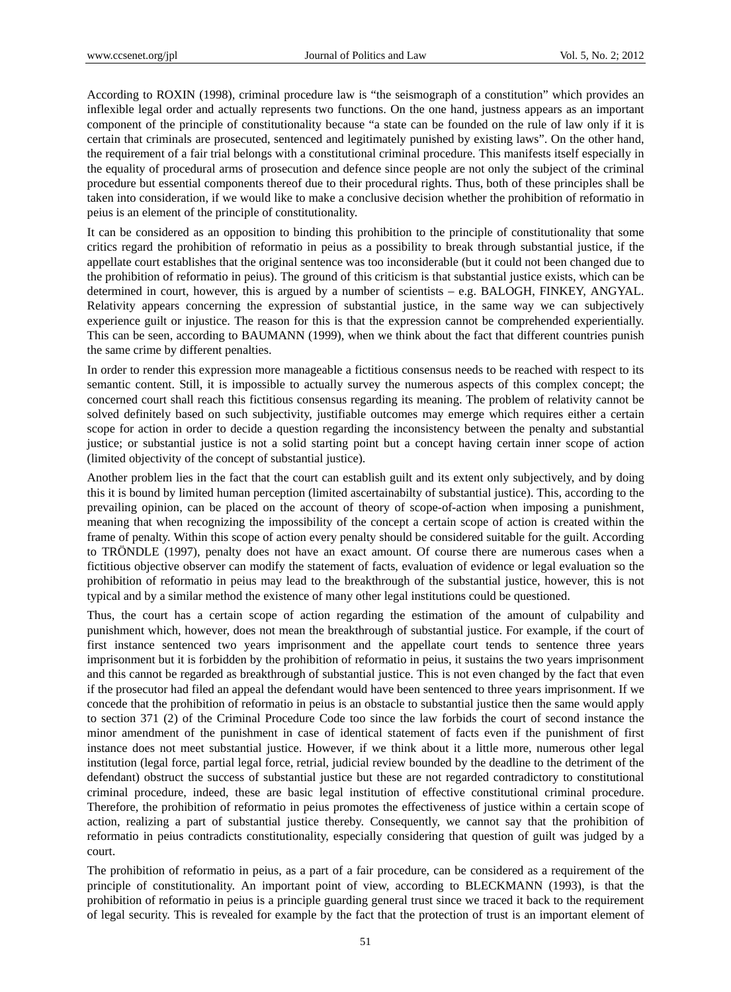According to ROXIN (1998), criminal procedure law is "the seismograph of a constitution" which provides an inflexible legal order and actually represents two functions. On the one hand, justness appears as an important component of the principle of constitutionality because "a state can be founded on the rule of law only if it is certain that criminals are prosecuted, sentenced and legitimately punished by existing laws". On the other hand, the requirement of a fair trial belongs with a constitutional criminal procedure. This manifests itself especially in the equality of procedural arms of prosecution and defence since people are not only the subject of the criminal procedure but essential components thereof due to their procedural rights. Thus, both of these principles shall be taken into consideration, if we would like to make a conclusive decision whether the prohibition of reformatio in peius is an element of the principle of constitutionality.

It can be considered as an opposition to binding this prohibition to the principle of constitutionality that some critics regard the prohibition of reformatio in peius as a possibility to break through substantial justice, if the appellate court establishes that the original sentence was too inconsiderable (but it could not been changed due to the prohibition of reformatio in peius). The ground of this criticism is that substantial justice exists, which can be determined in court, however, this is argued by a number of scientists – e.g. BALOGH, FINKEY, ANGYAL. Relativity appears concerning the expression of substantial justice, in the same way we can subjectively experience guilt or injustice. The reason for this is that the expression cannot be comprehended experientially. This can be seen, according to BAUMANN (1999), when we think about the fact that different countries punish the same crime by different penalties.

In order to render this expression more manageable a fictitious consensus needs to be reached with respect to its semantic content. Still, it is impossible to actually survey the numerous aspects of this complex concept; the concerned court shall reach this fictitious consensus regarding its meaning. The problem of relativity cannot be solved definitely based on such subjectivity, justifiable outcomes may emerge which requires either a certain scope for action in order to decide a question regarding the inconsistency between the penalty and substantial justice; or substantial justice is not a solid starting point but a concept having certain inner scope of action (limited objectivity of the concept of substantial justice).

Another problem lies in the fact that the court can establish guilt and its extent only subjectively, and by doing this it is bound by limited human perception (limited ascertainabilty of substantial justice). This, according to the prevailing opinion, can be placed on the account of theory of scope-of-action when imposing a punishment, meaning that when recognizing the impossibility of the concept a certain scope of action is created within the frame of penalty. Within this scope of action every penalty should be considered suitable for the guilt. According to TRÖNDLE (1997), penalty does not have an exact amount. Of course there are numerous cases when a fictitious objective observer can modify the statement of facts, evaluation of evidence or legal evaluation so the prohibition of reformatio in peius may lead to the breakthrough of the substantial justice, however, this is not typical and by a similar method the existence of many other legal institutions could be questioned.

Thus, the court has a certain scope of action regarding the estimation of the amount of culpability and punishment which, however, does not mean the breakthrough of substantial justice. For example, if the court of first instance sentenced two years imprisonment and the appellate court tends to sentence three years imprisonment but it is forbidden by the prohibition of reformatio in peius, it sustains the two years imprisonment and this cannot be regarded as breakthrough of substantial justice. This is not even changed by the fact that even if the prosecutor had filed an appeal the defendant would have been sentenced to three years imprisonment. If we concede that the prohibition of reformatio in peius is an obstacle to substantial justice then the same would apply to section 371 (2) of the Criminal Procedure Code too since the law forbids the court of second instance the minor amendment of the punishment in case of identical statement of facts even if the punishment of first instance does not meet substantial justice. However, if we think about it a little more, numerous other legal institution (legal force, partial legal force, retrial, judicial review bounded by the deadline to the detriment of the defendant) obstruct the success of substantial justice but these are not regarded contradictory to constitutional criminal procedure, indeed, these are basic legal institution of effective constitutional criminal procedure. Therefore, the prohibition of reformatio in peius promotes the effectiveness of justice within a certain scope of action, realizing a part of substantial justice thereby. Consequently, we cannot say that the prohibition of reformatio in peius contradicts constitutionality, especially considering that question of guilt was judged by a court.

The prohibition of reformatio in peius, as a part of a fair procedure, can be considered as a requirement of the principle of constitutionality. An important point of view, according to BLECKMANN (1993), is that the prohibition of reformatio in peius is a principle guarding general trust since we traced it back to the requirement of legal security. This is revealed for example by the fact that the protection of trust is an important element of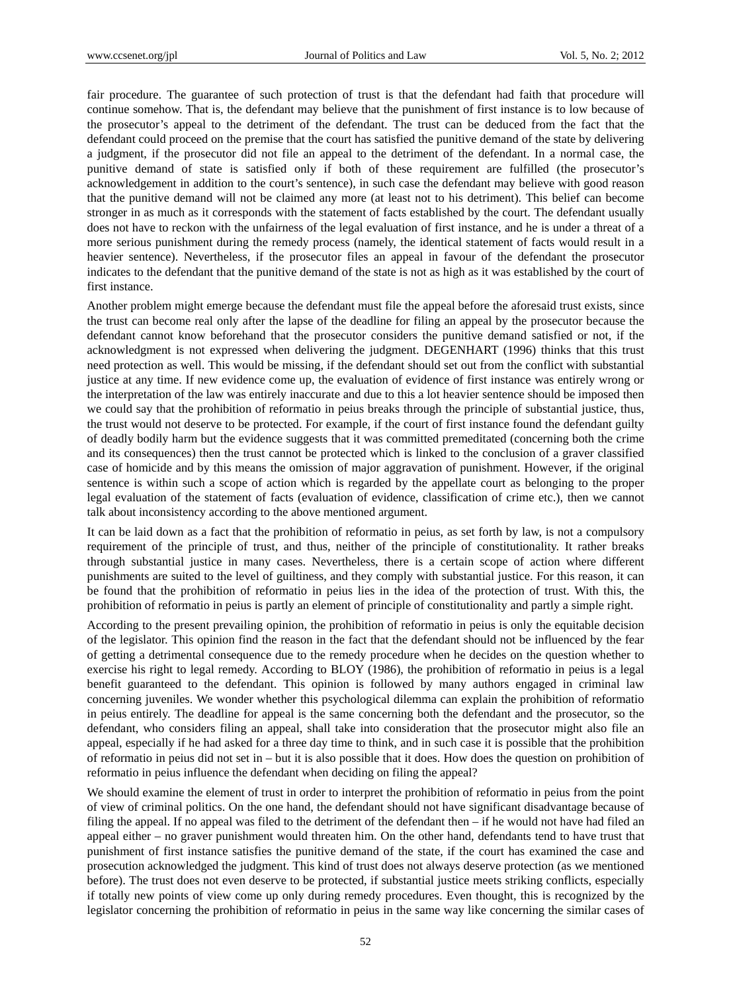fair procedure. The guarantee of such protection of trust is that the defendant had faith that procedure will continue somehow. That is, the defendant may believe that the punishment of first instance is to low because of the prosecutor's appeal to the detriment of the defendant. The trust can be deduced from the fact that the defendant could proceed on the premise that the court has satisfied the punitive demand of the state by delivering a judgment, if the prosecutor did not file an appeal to the detriment of the defendant. In a normal case, the punitive demand of state is satisfied only if both of these requirement are fulfilled (the prosecutor's acknowledgement in addition to the court's sentence), in such case the defendant may believe with good reason that the punitive demand will not be claimed any more (at least not to his detriment). This belief can become stronger in as much as it corresponds with the statement of facts established by the court. The defendant usually does not have to reckon with the unfairness of the legal evaluation of first instance, and he is under a threat of a more serious punishment during the remedy process (namely, the identical statement of facts would result in a heavier sentence). Nevertheless, if the prosecutor files an appeal in favour of the defendant the prosecutor indicates to the defendant that the punitive demand of the state is not as high as it was established by the court of first instance.

Another problem might emerge because the defendant must file the appeal before the aforesaid trust exists, since the trust can become real only after the lapse of the deadline for filing an appeal by the prosecutor because the defendant cannot know beforehand that the prosecutor considers the punitive demand satisfied or not, if the acknowledgment is not expressed when delivering the judgment. DEGENHART (1996) thinks that this trust need protection as well. This would be missing, if the defendant should set out from the conflict with substantial justice at any time. If new evidence come up, the evaluation of evidence of first instance was entirely wrong or the interpretation of the law was entirely inaccurate and due to this a lot heavier sentence should be imposed then we could say that the prohibition of reformatio in peius breaks through the principle of substantial justice, thus, the trust would not deserve to be protected. For example, if the court of first instance found the defendant guilty of deadly bodily harm but the evidence suggests that it was committed premeditated (concerning both the crime and its consequences) then the trust cannot be protected which is linked to the conclusion of a graver classified case of homicide and by this means the omission of major aggravation of punishment. However, if the original sentence is within such a scope of action which is regarded by the appellate court as belonging to the proper legal evaluation of the statement of facts (evaluation of evidence, classification of crime etc.), then we cannot talk about inconsistency according to the above mentioned argument.

It can be laid down as a fact that the prohibition of reformatio in peius, as set forth by law, is not a compulsory requirement of the principle of trust, and thus, neither of the principle of constitutionality. It rather breaks through substantial justice in many cases. Nevertheless, there is a certain scope of action where different punishments are suited to the level of guiltiness, and they comply with substantial justice. For this reason, it can be found that the prohibition of reformatio in peius lies in the idea of the protection of trust. With this, the prohibition of reformatio in peius is partly an element of principle of constitutionality and partly a simple right.

According to the present prevailing opinion, the prohibition of reformatio in peius is only the equitable decision of the legislator. This opinion find the reason in the fact that the defendant should not be influenced by the fear of getting a detrimental consequence due to the remedy procedure when he decides on the question whether to exercise his right to legal remedy. According to BLOY (1986), the prohibition of reformatio in peius is a legal benefit guaranteed to the defendant. This opinion is followed by many authors engaged in criminal law concerning juveniles. We wonder whether this psychological dilemma can explain the prohibition of reformatio in peius entirely. The deadline for appeal is the same concerning both the defendant and the prosecutor, so the defendant, who considers filing an appeal, shall take into consideration that the prosecutor might also file an appeal, especially if he had asked for a three day time to think, and in such case it is possible that the prohibition of reformatio in peius did not set in – but it is also possible that it does. How does the question on prohibition of reformatio in peius influence the defendant when deciding on filing the appeal?

We should examine the element of trust in order to interpret the prohibition of reformatio in peius from the point of view of criminal politics. On the one hand, the defendant should not have significant disadvantage because of filing the appeal. If no appeal was filed to the detriment of the defendant then – if he would not have had filed an appeal either – no graver punishment would threaten him. On the other hand, defendants tend to have trust that punishment of first instance satisfies the punitive demand of the state, if the court has examined the case and prosecution acknowledged the judgment. This kind of trust does not always deserve protection (as we mentioned before). The trust does not even deserve to be protected, if substantial justice meets striking conflicts, especially if totally new points of view come up only during remedy procedures. Even thought, this is recognized by the legislator concerning the prohibition of reformatio in peius in the same way like concerning the similar cases of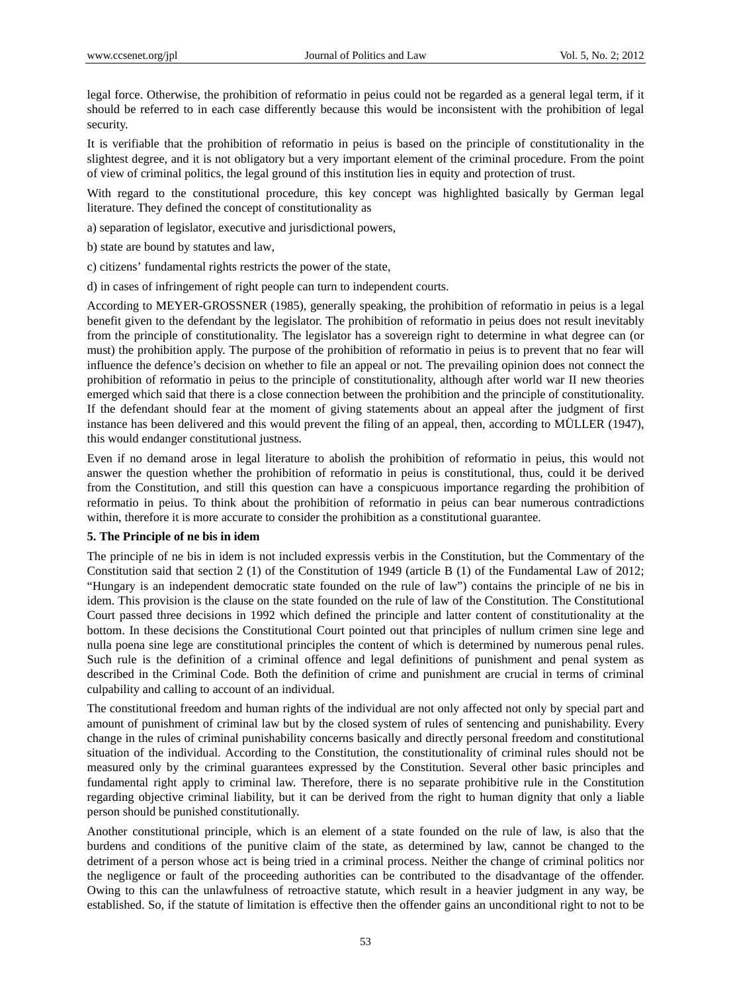legal force. Otherwise, the prohibition of reformatio in peius could not be regarded as a general legal term, if it should be referred to in each case differently because this would be inconsistent with the prohibition of legal security.

It is verifiable that the prohibition of reformatio in peius is based on the principle of constitutionality in the slightest degree, and it is not obligatory but a very important element of the criminal procedure. From the point of view of criminal politics, the legal ground of this institution lies in equity and protection of trust.

With regard to the constitutional procedure, this key concept was highlighted basically by German legal literature. They defined the concept of constitutionality as

a) separation of legislator, executive and jurisdictional powers,

- b) state are bound by statutes and law,
- c) citizens' fundamental rights restricts the power of the state,

d) in cases of infringement of right people can turn to independent courts.

According to MEYER-GROSSNER (1985), generally speaking, the prohibition of reformatio in peius is a legal benefit given to the defendant by the legislator. The prohibition of reformatio in peius does not result inevitably from the principle of constitutionality. The legislator has a sovereign right to determine in what degree can (or must) the prohibition apply. The purpose of the prohibition of reformatio in peius is to prevent that no fear will influence the defence's decision on whether to file an appeal or not. The prevailing opinion does not connect the prohibition of reformatio in peius to the principle of constitutionality, although after world war II new theories emerged which said that there is a close connection between the prohibition and the principle of constitutionality. If the defendant should fear at the moment of giving statements about an appeal after the judgment of first instance has been delivered and this would prevent the filing of an appeal, then, according to MÜLLER (1947), this would endanger constitutional justness.

Even if no demand arose in legal literature to abolish the prohibition of reformatio in peius, this would not answer the question whether the prohibition of reformatio in peius is constitutional, thus, could it be derived from the Constitution, and still this question can have a conspicuous importance regarding the prohibition of reformatio in peius. To think about the prohibition of reformatio in peius can bear numerous contradictions within, therefore it is more accurate to consider the prohibition as a constitutional guarantee.

#### **5. The Principle of ne bis in idem**

The principle of ne bis in idem is not included expressis verbis in the Constitution, but the Commentary of the Constitution said that section 2 (1) of the Constitution of 1949 (article B (1) of the Fundamental Law of 2012; "Hungary is an independent democratic state founded on the rule of law") contains the principle of ne bis in idem. This provision is the clause on the state founded on the rule of law of the Constitution. The Constitutional Court passed three decisions in 1992 which defined the principle and latter content of constitutionality at the bottom. In these decisions the Constitutional Court pointed out that principles of nullum crimen sine lege and nulla poena sine lege are constitutional principles the content of which is determined by numerous penal rules. Such rule is the definition of a criminal offence and legal definitions of punishment and penal system as described in the Criminal Code. Both the definition of crime and punishment are crucial in terms of criminal culpability and calling to account of an individual.

The constitutional freedom and human rights of the individual are not only affected not only by special part and amount of punishment of criminal law but by the closed system of rules of sentencing and punishability. Every change in the rules of criminal punishability concerns basically and directly personal freedom and constitutional situation of the individual. According to the Constitution, the constitutionality of criminal rules should not be measured only by the criminal guarantees expressed by the Constitution. Several other basic principles and fundamental right apply to criminal law. Therefore, there is no separate prohibitive rule in the Constitution regarding objective criminal liability, but it can be derived from the right to human dignity that only a liable person should be punished constitutionally.

Another constitutional principle, which is an element of a state founded on the rule of law, is also that the burdens and conditions of the punitive claim of the state, as determined by law, cannot be changed to the detriment of a person whose act is being tried in a criminal process. Neither the change of criminal politics nor the negligence or fault of the proceeding authorities can be contributed to the disadvantage of the offender. Owing to this can the unlawfulness of retroactive statute, which result in a heavier judgment in any way, be established. So, if the statute of limitation is effective then the offender gains an unconditional right to not to be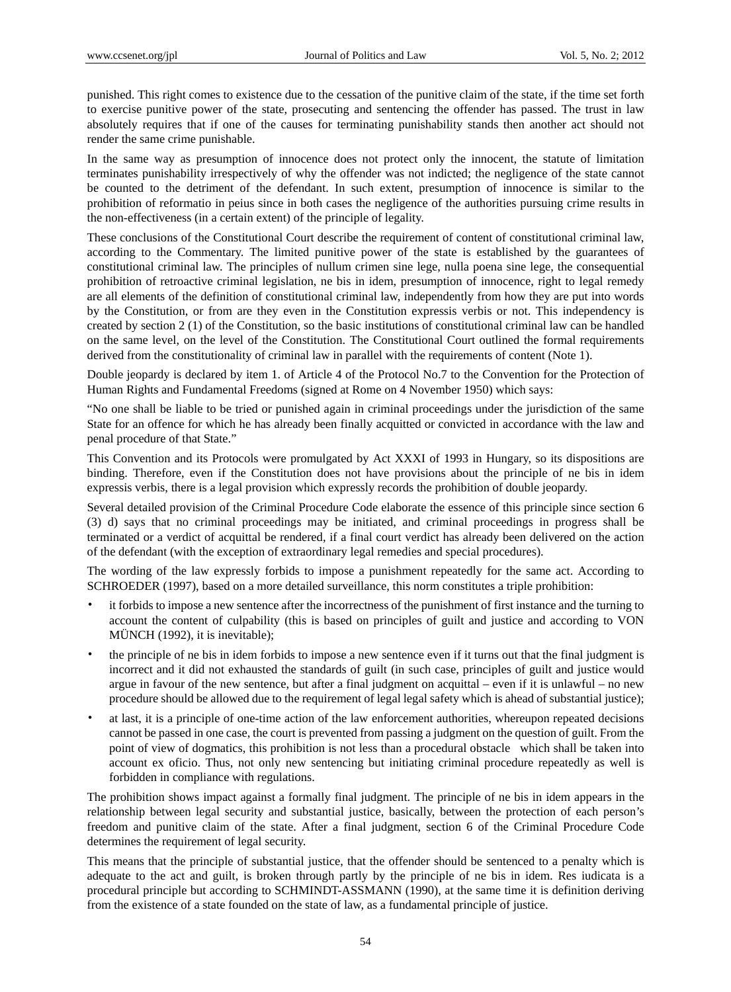punished. This right comes to existence due to the cessation of the punitive claim of the state, if the time set forth to exercise punitive power of the state, prosecuting and sentencing the offender has passed. The trust in law absolutely requires that if one of the causes for terminating punishability stands then another act should not render the same crime punishable.

In the same way as presumption of innocence does not protect only the innocent, the statute of limitation terminates punishability irrespectively of why the offender was not indicted; the negligence of the state cannot be counted to the detriment of the defendant. In such extent, presumption of innocence is similar to the prohibition of reformatio in peius since in both cases the negligence of the authorities pursuing crime results in the non-effectiveness (in a certain extent) of the principle of legality.

These conclusions of the Constitutional Court describe the requirement of content of constitutional criminal law, according to the Commentary. The limited punitive power of the state is established by the guarantees of constitutional criminal law. The principles of nullum crimen sine lege, nulla poena sine lege, the consequential prohibition of retroactive criminal legislation, ne bis in idem, presumption of innocence, right to legal remedy are all elements of the definition of constitutional criminal law, independently from how they are put into words by the Constitution, or from are they even in the Constitution expressis verbis or not. This independency is created by section 2 (1) of the Constitution, so the basic institutions of constitutional criminal law can be handled on the same level, on the level of the Constitution. The Constitutional Court outlined the formal requirements derived from the constitutionality of criminal law in parallel with the requirements of content (Note 1).

Double jeopardy is declared by item 1. of Article 4 of the Protocol No.7 to the Convention for the Protection of Human Rights and Fundamental Freedoms (signed at Rome on 4 November 1950) which says:

"No one shall be liable to be tried or punished again in criminal proceedings under the jurisdiction of the same State for an offence for which he has already been finally acquitted or convicted in accordance with the law and penal procedure of that State."

This Convention and its Protocols were promulgated by Act XXXI of 1993 in Hungary, so its dispositions are binding. Therefore, even if the Constitution does not have provisions about the principle of ne bis in idem expressis verbis, there is a legal provision which expressly records the prohibition of double jeopardy.

Several detailed provision of the Criminal Procedure Code elaborate the essence of this principle since section 6 (3) d) says that no criminal proceedings may be initiated, and criminal proceedings in progress shall be terminated or a verdict of acquittal be rendered, if a final court verdict has already been delivered on the action of the defendant (with the exception of extraordinary legal remedies and special procedures).

The wording of the law expressly forbids to impose a punishment repeatedly for the same act. According to SCHROEDER (1997), based on a more detailed surveillance, this norm constitutes a triple prohibition:

- it forbids to impose a new sentence after the incorrectness of the punishment of first instance and the turning to account the content of culpability (this is based on principles of guilt and justice and according to VON MÜNCH (1992), it is inevitable);
- the principle of ne bis in idem forbids to impose a new sentence even if it turns out that the final judgment is incorrect and it did not exhausted the standards of guilt (in such case, principles of guilt and justice would argue in favour of the new sentence, but after a final judgment on acquittal – even if it is unlawful – no new procedure should be allowed due to the requirement of legal legal safety which is ahead of substantial justice);
- at last, it is a principle of one-time action of the law enforcement authorities, whereupon repeated decisions cannot be passed in one case, the court is prevented from passing a judgment on the question of guilt. From the point of view of dogmatics, this prohibition is not less than a procedural obstacle which shall be taken into account ex oficio. Thus, not only new sentencing but initiating criminal procedure repeatedly as well is forbidden in compliance with regulations.

The prohibition shows impact against a formally final judgment. The principle of ne bis in idem appears in the relationship between legal security and substantial justice, basically, between the protection of each person's freedom and punitive claim of the state. After a final judgment, section 6 of the Criminal Procedure Code determines the requirement of legal security.

This means that the principle of substantial justice, that the offender should be sentenced to a penalty which is adequate to the act and guilt, is broken through partly by the principle of ne bis in idem. Res iudicata is a procedural principle but according to SCHMINDT-ASSMANN (1990), at the same time it is definition deriving from the existence of a state founded on the state of law, as a fundamental principle of justice.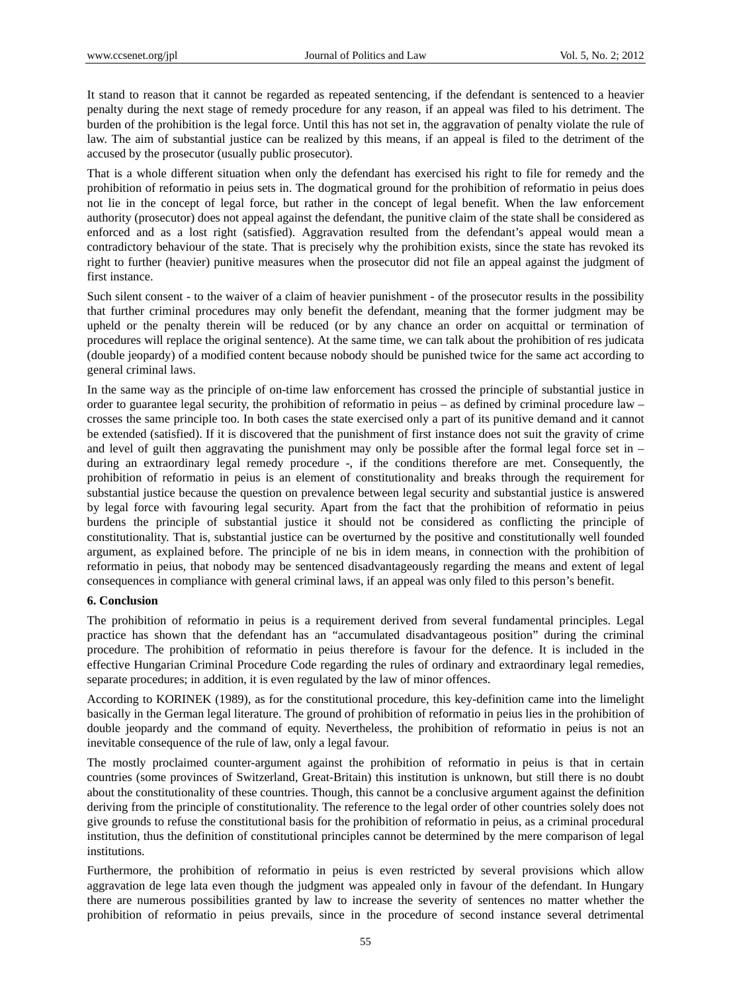It stand to reason that it cannot be regarded as repeated sentencing, if the defendant is sentenced to a heavier penalty during the next stage of remedy procedure for any reason, if an appeal was filed to his detriment. The burden of the prohibition is the legal force. Until this has not set in, the aggravation of penalty violate the rule of law. The aim of substantial justice can be realized by this means, if an appeal is filed to the detriment of the accused by the prosecutor (usually public prosecutor).

That is a whole different situation when only the defendant has exercised his right to file for remedy and the prohibition of reformatio in peius sets in. The dogmatical ground for the prohibition of reformatio in peius does not lie in the concept of legal force, but rather in the concept of legal benefit. When the law enforcement authority (prosecutor) does not appeal against the defendant, the punitive claim of the state shall be considered as enforced and as a lost right (satisfied). Aggravation resulted from the defendant's appeal would mean a contradictory behaviour of the state. That is precisely why the prohibition exists, since the state has revoked its right to further (heavier) punitive measures when the prosecutor did not file an appeal against the judgment of first instance.

Such silent consent - to the waiver of a claim of heavier punishment - of the prosecutor results in the possibility that further criminal procedures may only benefit the defendant, meaning that the former judgment may be upheld or the penalty therein will be reduced (or by any chance an order on acquittal or termination of procedures will replace the original sentence). At the same time, we can talk about the prohibition of res judicata (double jeopardy) of a modified content because nobody should be punished twice for the same act according to general criminal laws.

In the same way as the principle of on-time law enforcement has crossed the principle of substantial justice in order to guarantee legal security, the prohibition of reformatio in peius – as defined by criminal procedure law – crosses the same principle too. In both cases the state exercised only a part of its punitive demand and it cannot be extended (satisfied). If it is discovered that the punishment of first instance does not suit the gravity of crime and level of guilt then aggravating the punishment may only be possible after the formal legal force set in – during an extraordinary legal remedy procedure -, if the conditions therefore are met. Consequently, the prohibition of reformatio in peius is an element of constitutionality and breaks through the requirement for substantial justice because the question on prevalence between legal security and substantial justice is answered by legal force with favouring legal security. Apart from the fact that the prohibition of reformatio in peius burdens the principle of substantial justice it should not be considered as conflicting the principle of constitutionality. That is, substantial justice can be overturned by the positive and constitutionally well founded argument, as explained before. The principle of ne bis in idem means, in connection with the prohibition of reformatio in peius, that nobody may be sentenced disadvantageously regarding the means and extent of legal consequences in compliance with general criminal laws, if an appeal was only filed to this person's benefit.

#### **6. Conclusion**

The prohibition of reformatio in peius is a requirement derived from several fundamental principles. Legal practice has shown that the defendant has an "accumulated disadvantageous position" during the criminal procedure. The prohibition of reformatio in peius therefore is favour for the defence. It is included in the effective Hungarian Criminal Procedure Code regarding the rules of ordinary and extraordinary legal remedies, separate procedures; in addition, it is even regulated by the law of minor offences.

According to KORINEK (1989), as for the constitutional procedure, this key-definition came into the limelight basically in the German legal literature. The ground of prohibition of reformatio in peius lies in the prohibition of double jeopardy and the command of equity. Nevertheless, the prohibition of reformatio in peius is not an inevitable consequence of the rule of law, only a legal favour.

The mostly proclaimed counter-argument against the prohibition of reformatio in peius is that in certain countries (some provinces of Switzerland, Great-Britain) this institution is unknown, but still there is no doubt about the constitutionality of these countries. Though, this cannot be a conclusive argument against the definition deriving from the principle of constitutionality. The reference to the legal order of other countries solely does not give grounds to refuse the constitutional basis for the prohibition of reformatio in peius, as a criminal procedural institution, thus the definition of constitutional principles cannot be determined by the mere comparison of legal institutions.

Furthermore, the prohibition of reformatio in peius is even restricted by several provisions which allow aggravation de lege lata even though the judgment was appealed only in favour of the defendant. In Hungary there are numerous possibilities granted by law to increase the severity of sentences no matter whether the prohibition of reformatio in peius prevails, since in the procedure of second instance several detrimental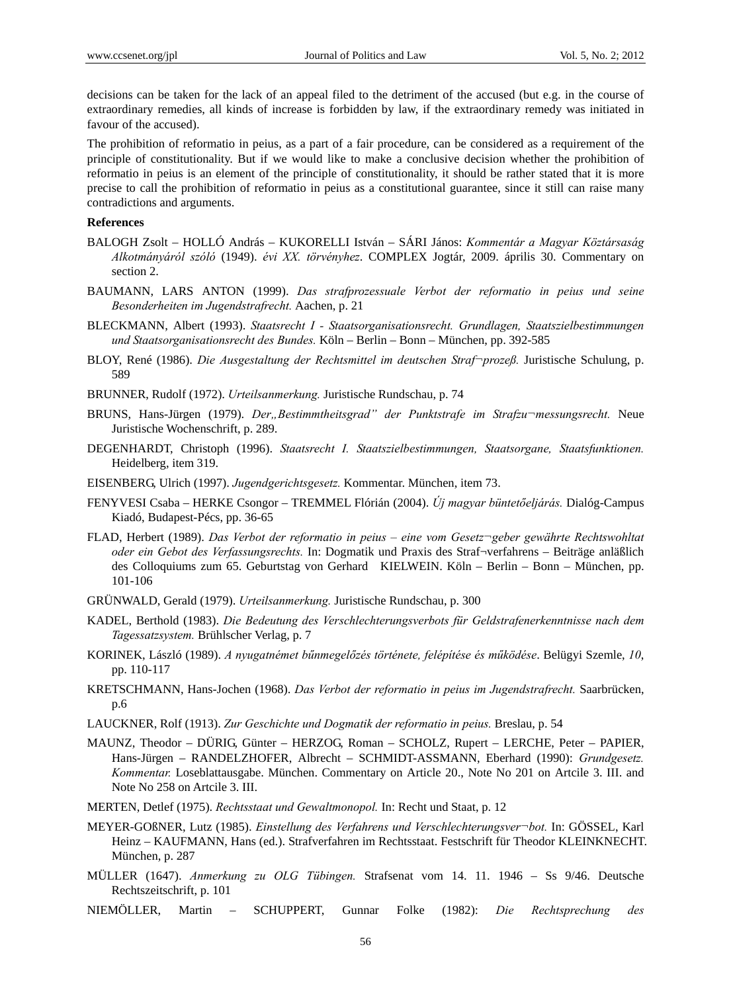decisions can be taken for the lack of an appeal filed to the detriment of the accused (but e.g. in the course of extraordinary remedies, all kinds of increase is forbidden by law, if the extraordinary remedy was initiated in favour of the accused).

The prohibition of reformatio in peius, as a part of a fair procedure, can be considered as a requirement of the principle of constitutionality. But if we would like to make a conclusive decision whether the prohibition of reformatio in peius is an element of the principle of constitutionality, it should be rather stated that it is more precise to call the prohibition of reformatio in peius as a constitutional guarantee, since it still can raise many contradictions and arguments.

#### **References**

- BALOGH Zsolt HOLLÓ András KUKORELLI István SÁRI János: *Kommentár a Magyar Köztársaság Alkotmányáról szóló* (1949). *évi XX. törvényhez*. COMPLEX Jogtár, 2009. április 30. Commentary on section 2.
- BAUMANN, LARS ANTON (1999). *Das strafprozessuale Verbot der reformatio in peius und seine Besonderheiten im Jugendstrafrecht.* Aachen, p. 21
- BLECKMANN, Albert (1993). *Staatsrecht I Staatsorganisationsrecht. Grundlagen, Staatszielbestimmungen und Staatsorganisationsrecht des Bundes.* Köln – Berlin – Bonn – München, pp. 392-585
- BLOY, René (1986). *Die Ausgestaltung der Rechtsmittel im deutschen Straf¬prozeß.* Juristische Schulung, p. 589
- BRUNNER, Rudolf (1972). *Urteilsanmerkung.* Juristische Rundschau, p. 74
- BRUNS, Hans-Jürgen (1979). *Der"Bestimmtheitsgrad" der Punktstrafe im Strafzu¬messungsrecht.* Neue Juristische Wochenschrift, p. 289.
- DEGENHARDT, Christoph (1996). *Staatsrecht I. Staatszielbestimmungen, Staatsorgane, Staatsfunktionen.* Heidelberg, item 319.
- EISENBERG, Ulrich (1997). *Jugendgerichtsgesetz.* Kommentar. München, item 73.
- FENYVESI Csaba HERKE Csongor TREMMEL Flórián (2004). *Új magyar büntetőeljárás.* Dialóg-Campus Kiadó, Budapest-Pécs, pp. 36-65
- FLAD, Herbert (1989). *Das Verbot der reformatio in peius eine vom Gesetz¬geber gewährte Rechtswohltat oder ein Gebot des Verfassungsrechts.* In: Dogmatik und Praxis des Straf¬verfahrens – Beiträge anläßlich des Colloquiums zum 65. Geburtstag von Gerhard KIELWEIN. Köln – Berlin – Bonn – München, pp. 101-106
- GRÜNWALD, Gerald (1979). *Urteilsanmerkung.* Juristische Rundschau, p. 300
- KADEL, Berthold (1983). *Die Bedeutung des Verschlechterungsverbots für Geldstrafenerkenntnisse nach dem Tagessatzsystem.* Brühlscher Verlag, p. 7
- KORINEK, László (1989). *A nyugatnémet bűnmegelőzés története, felépítése és működése*. Belügyi Szemle, *10*, pp. 110-117
- KRETSCHMANN, Hans-Jochen (1968). *Das Verbot der reformatio in peius im Jugendstrafrecht.* Saarbrücken, p.6
- LAUCKNER, Rolf (1913). *Zur Geschichte und Dogmatik der reformatio in peius.* Breslau, p. 54
- MAUNZ, Theodor DÜRIG, Günter HERZOG, Roman SCHOLZ, Rupert LERCHE, Peter PAPIER, Hans-Jürgen – RANDELZHOFER, Albrecht – SCHMIDT-ASSMANN, Eberhard (1990): *Grundgesetz. Kommentar.* Loseblattausgabe. München. Commentary on Article 20., Note No 201 on Artcile 3. III. and Note No 258 on Artcile 3. III.
- MERTEN, Detlef (1975). *Rechtsstaat und Gewaltmonopol.* In: Recht und Staat, p. 12
- MEYER-GOßNER, Lutz (1985). *Einstellung des Verfahrens und Verschlechterungsver¬bot.* In: GÖSSEL, Karl Heinz – KAUFMANN, Hans (ed.). Strafverfahren im Rechtsstaat. Festschrift für Theodor KLEINKNECHT. München, p. 287
- MÜLLER (1647). *Anmerkung zu OLG Tübingen.* Strafsenat vom 14. 11. 1946 Ss 9/46. Deutsche Rechtszeitschrift, p. 101
- NIEMÖLLER, Martin SCHUPPERT, Gunnar Folke (1982): *Die Rechtsprechung des*